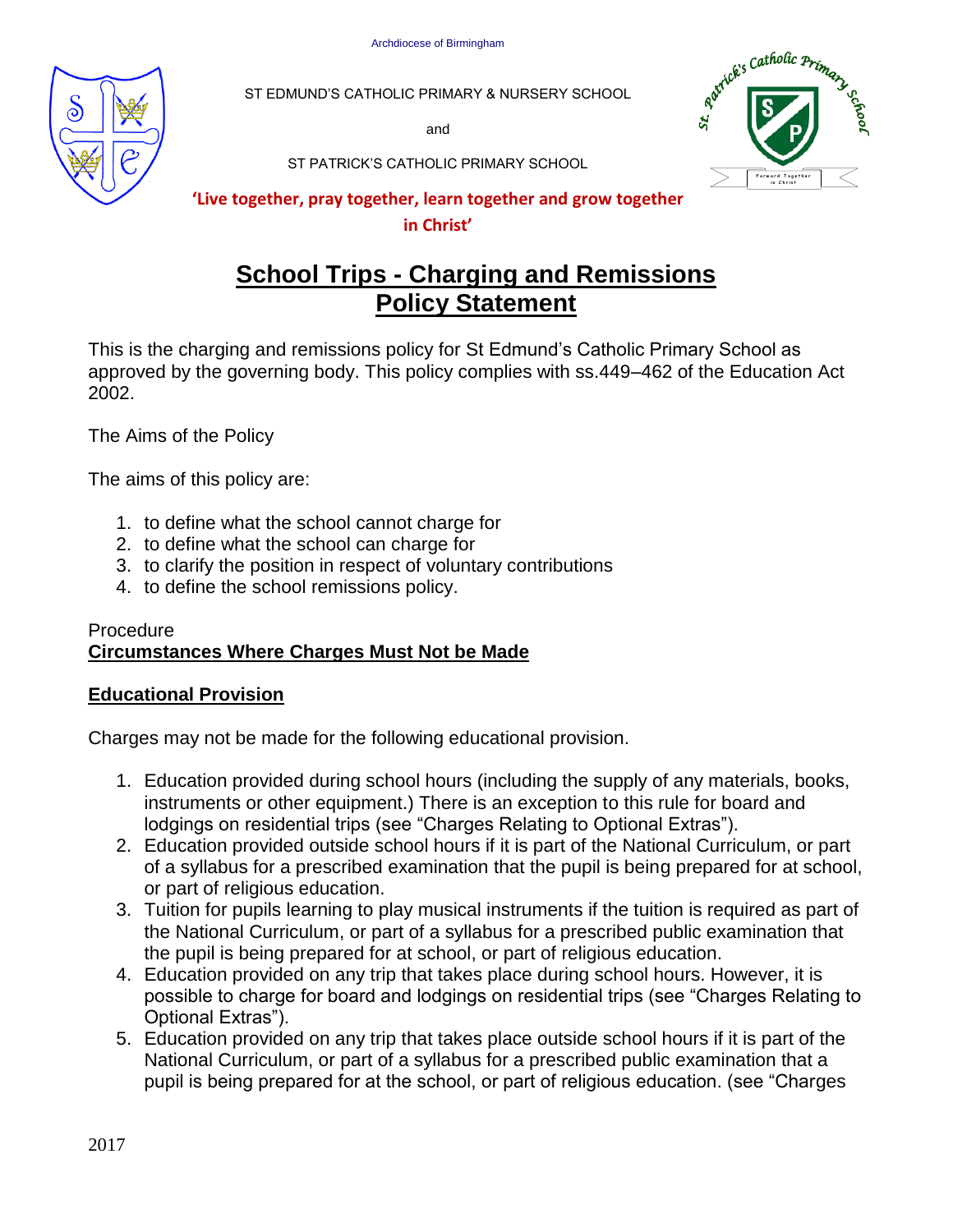

ST EDMUND'S CATHOLIC PRIMARY & NURSERY SCHOOL

and



ST PATRICK'S CATHOLIC PRIMARY SCHOOL

# **'Live together, pray together, learn together and grow together**

#### **in Christ'**

# **School Trips - Charging and Remissions Policy Statement**

This is the charging and remissions policy for St Edmund's Catholic Primary School as approved by the governing body. This policy complies with ss.449–462 of the Education Act 2002.

The Aims of the Policy

The aims of this policy are:

- 1. to define what the school cannot charge for
- 2. to define what the school can charge for
- 3. to clarify the position in respect of voluntary contributions
- 4. to define the school remissions policy.

# Procedure **Circumstances Where Charges Must Not be Made**

# **Educational Provision**

Charges may not be made for the following educational provision.

- 1. Education provided during school hours (including the supply of any materials, books, instruments or other equipment.) There is an exception to this rule for board and lodgings on residential trips (see "Charges Relating to Optional Extras").
- 2. Education provided outside school hours if it is part of the National Curriculum, or part of a syllabus for a prescribed examination that the pupil is being prepared for at school, or part of religious education.
- 3. Tuition for pupils learning to play musical instruments if the tuition is required as part of the National Curriculum, or part of a syllabus for a prescribed public examination that the pupil is being prepared for at school, or part of religious education.
- 4. Education provided on any trip that takes place during school hours. However, it is possible to charge for board and lodgings on residential trips (see "Charges Relating to Optional Extras").
- 5. Education provided on any trip that takes place outside school hours if it is part of the National Curriculum, or part of a syllabus for a prescribed public examination that a pupil is being prepared for at the school, or part of religious education. (see "Charges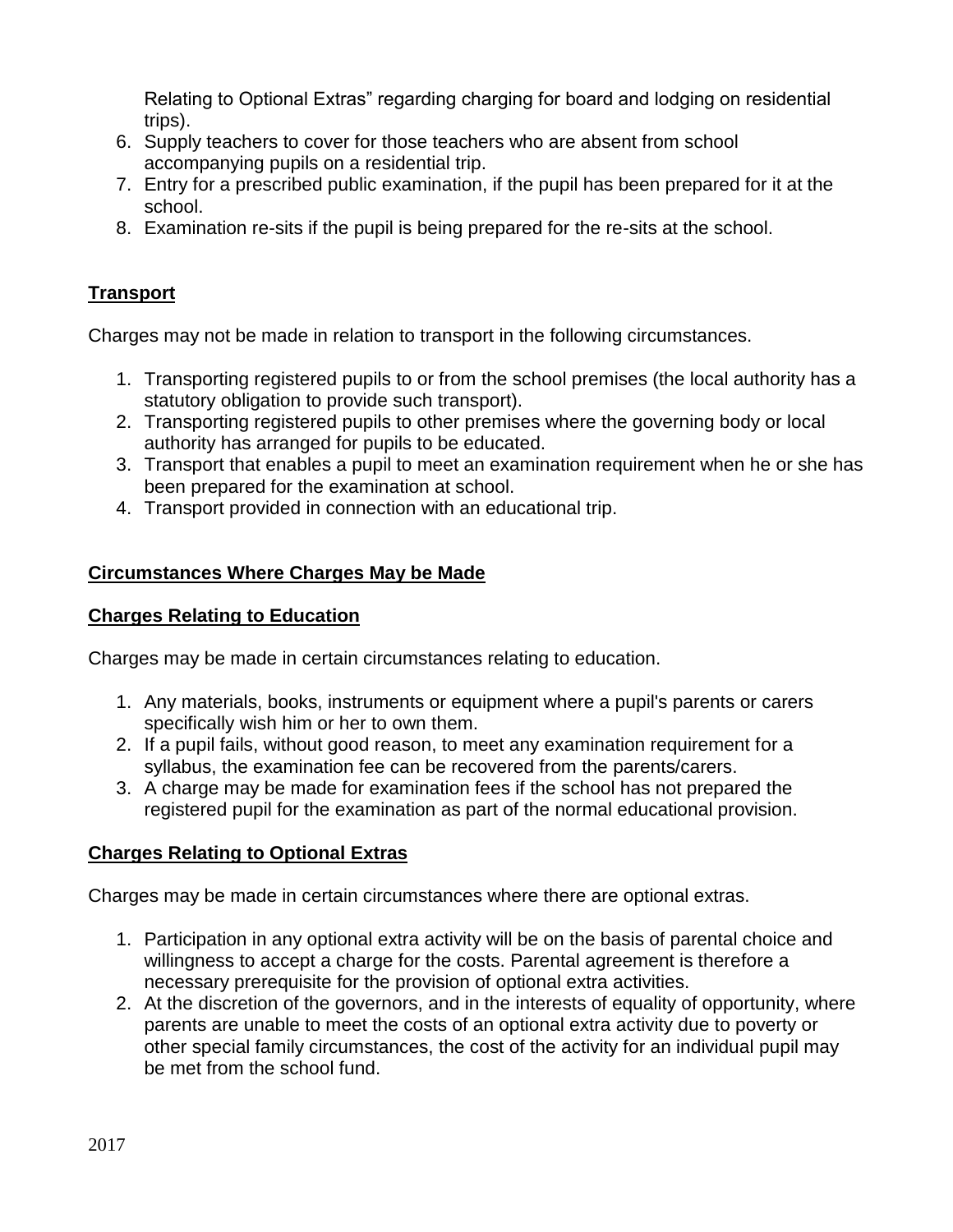Relating to Optional Extras" regarding charging for board and lodging on residential trips).

- 6. Supply teachers to cover for those teachers who are absent from school accompanying pupils on a residential trip.
- 7. Entry for a prescribed public examination, if the pupil has been prepared for it at the school.
- 8. Examination re-sits if the pupil is being prepared for the re-sits at the school.

# **Transport**

Charges may not be made in relation to transport in the following circumstances.

- 1. Transporting registered pupils to or from the school premises (the local authority has a statutory obligation to provide such transport).
- 2. Transporting registered pupils to other premises where the governing body or local authority has arranged for pupils to be educated.
- 3. Transport that enables a pupil to meet an examination requirement when he or she has been prepared for the examination at school.
- 4. Transport provided in connection with an educational trip.

# **Circumstances Where Charges May be Made**

#### **Charges Relating to Education**

Charges may be made in certain circumstances relating to education.

- 1. Any materials, books, instruments or equipment where a pupil's parents or carers specifically wish him or her to own them.
- 2. If a pupil fails, without good reason, to meet any examination requirement for a syllabus, the examination fee can be recovered from the parents/carers.
- 3. A charge may be made for examination fees if the school has not prepared the registered pupil for the examination as part of the normal educational provision.

# **Charges Relating to Optional Extras**

Charges may be made in certain circumstances where there are optional extras.

- 1. Participation in any optional extra activity will be on the basis of parental choice and willingness to accept a charge for the costs. Parental agreement is therefore a necessary prerequisite for the provision of optional extra activities.
- 2. At the discretion of the governors, and in the interests of equality of opportunity, where parents are unable to meet the costs of an optional extra activity due to poverty or other special family circumstances, the cost of the activity for an individual pupil may be met from the school fund.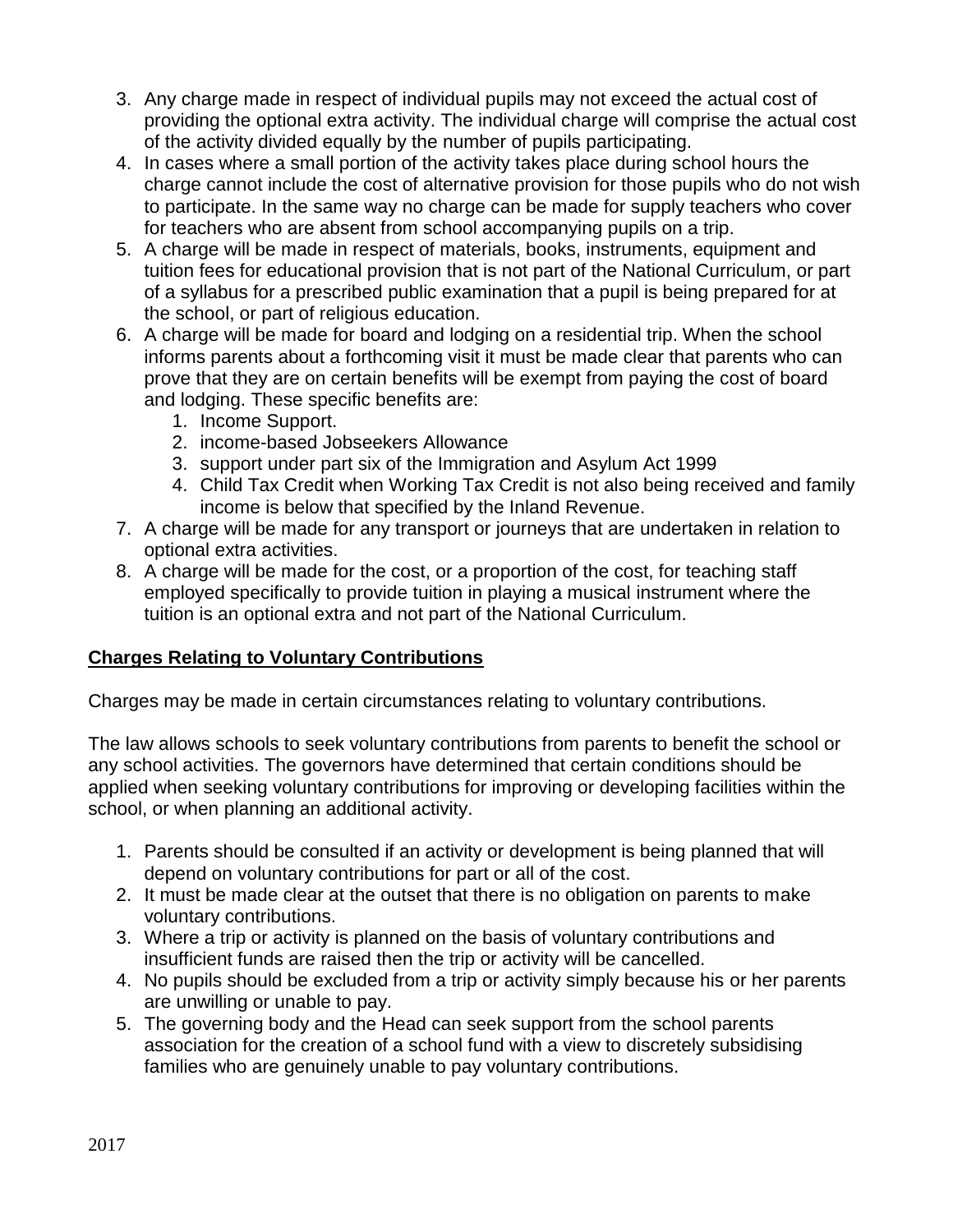- 3. Any charge made in respect of individual pupils may not exceed the actual cost of providing the optional extra activity. The individual charge will comprise the actual cost of the activity divided equally by the number of pupils participating.
- 4. In cases where a small portion of the activity takes place during school hours the charge cannot include the cost of alternative provision for those pupils who do not wish to participate. In the same way no charge can be made for supply teachers who cover for teachers who are absent from school accompanying pupils on a trip.
- 5. A charge will be made in respect of materials, books, instruments, equipment and tuition fees for educational provision that is not part of the National Curriculum, or part of a syllabus for a prescribed public examination that a pupil is being prepared for at the school, or part of religious education.
- 6. A charge will be made for board and lodging on a residential trip. When the school informs parents about a forthcoming visit it must be made clear that parents who can prove that they are on certain benefits will be exempt from paying the cost of board and lodging. These specific benefits are:
	- 1. Income Support.
	- 2. income-based Jobseekers Allowance
	- 3. support under part six of the Immigration and Asylum Act 1999
	- 4. Child Tax Credit when Working Tax Credit is not also being received and family income is below that specified by the Inland Revenue.
- 7. A charge will be made for any transport or journeys that are undertaken in relation to optional extra activities.
- 8. A charge will be made for the cost, or a proportion of the cost, for teaching staff employed specifically to provide tuition in playing a musical instrument where the tuition is an optional extra and not part of the National Curriculum.

# **Charges Relating to Voluntary Contributions**

Charges may be made in certain circumstances relating to voluntary contributions.

The law allows schools to seek voluntary contributions from parents to benefit the school or any school activities. The governors have determined that certain conditions should be applied when seeking voluntary contributions for improving or developing facilities within the school, or when planning an additional activity.

- 1. Parents should be consulted if an activity or development is being planned that will depend on voluntary contributions for part or all of the cost.
- 2. It must be made clear at the outset that there is no obligation on parents to make voluntary contributions.
- 3. Where a trip or activity is planned on the basis of voluntary contributions and insufficient funds are raised then the trip or activity will be cancelled.
- 4. No pupils should be excluded from a trip or activity simply because his or her parents are unwilling or unable to pay.
- 5. The governing body and the Head can seek support from the school parents association for the creation of a school fund with a view to discretely subsidising families who are genuinely unable to pay voluntary contributions.